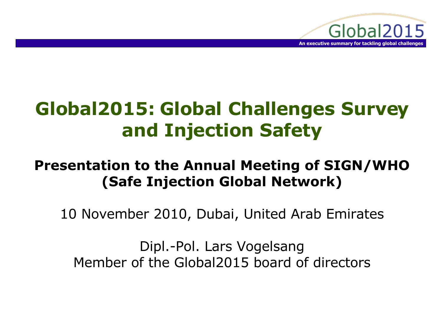

# **Global2015: Global Challenges Survey and Injection Safety**

#### **Presentation to the Annual Meeting of SIGN/WHO (Safe Injection Global Network)**

10 November 2010, Dubai, United Arab Emirates

Dipl.-Pol. Lars Vogelsang Member of the Global2015 board of directors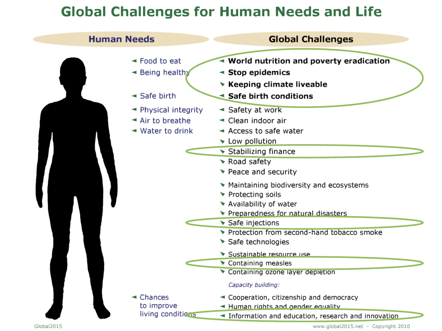#### **Global Challenges for Human Needs and Life**

| <b>Human Needs</b> |                                                                                                                       | <b>Global Challenges</b>                                                                                                |
|--------------------|-----------------------------------------------------------------------------------------------------------------------|-------------------------------------------------------------------------------------------------------------------------|
|                    | $\blacktriangleleft$ Food to eat<br>► Being healthy<br>$\triangleleft$ Safe birth                                     | • World nutrition and poverty eradication<br>◀ Stop epidemics<br>▼ Keeping climate liveable<br>Safe birth conditions    |
|                    | $\blacktriangleleft$ Physical integrity<br>$\blacktriangleleft$ Air to breathe<br>$\blacktriangleleft$ Water to drink | ◄ Safety at work<br>► Clean indoor air<br>$\blacktriangleleft$ Access to safe water<br>Low pollution                    |
|                    |                                                                                                                       | $\blacktriangleright$ Stabilizing finance<br>$\blacktriangleright$ Road safety<br>▼ Peace and security                  |
|                    |                                                                                                                       | Maintaining biodiversity and ecosystems<br>▼ Protecting soils<br>▼ Availability of water                                |
|                    |                                                                                                                       | Preparedness for natural disasters<br>Safe injections<br>Trotection from second-hand tobacco smoke<br>Safe technologies |
|                    |                                                                                                                       | Sustainable resource use<br>Containing measles<br>Containing ozone layer depletion                                      |
|                    | $\triangleleft$ Chances<br>to improve                                                                                 | Capacity building:<br>← Cooperation, citizenship and democracy<br>← Human rights and gender equality                    |
| Global2015         | living conditions                                                                                                     | Information and education, research and innovation<br>www.global2015.net - Copyright 2010                               |

www.global2015.net - Copyright 2010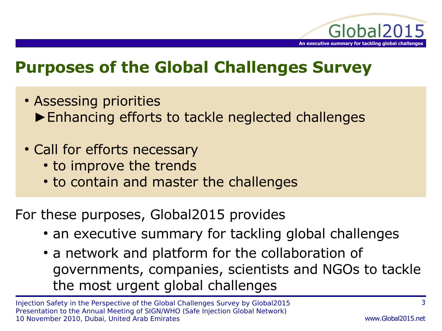

# **Purposes of the Global Challenges Survey**

- Assessing priorities ►Enhancing efforts to tackle neglected challenges
- Call for efforts necessary
	- to improve the trends
	- to contain and master the challenges

For these purposes, Global2015 provides

- an executive summary for tackling global challenges
- a network and platform for the collaboration of governments, companies, scientists and NGOs to tackle the most urgent global challenges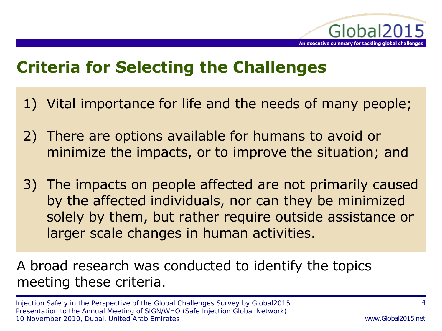

# **Criteria for Selecting the Challenges**

- 1) Vital importance for life and the needs of many people;
- 2) There are options available for humans to avoid or minimize the impacts, or to improve the situation; and
- 3) The impacts on people affected are not primarily caused by the affected individuals, nor can they be minimized solely by them, but rather require outside assistance or larger scale changes in human activities.

A broad research was conducted to identify the topics meeting these criteria.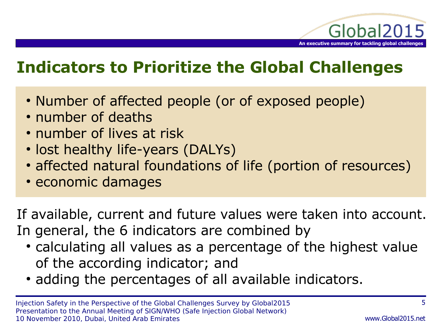

# **Indicators to Prioritize the Global Challenges**

- Number of affected people (or of exposed people)
- number of deaths
- number of lives at risk
- lost healthy life-years (DALYs)
- affected natural foundations of life (portion of resources)
- economic damages

If available, current and future values were taken into account. In general, the 6 indicators are combined by

- calculating all values as a percentage of the highest value of the according indicator; and
- adding the percentages of all available indicators.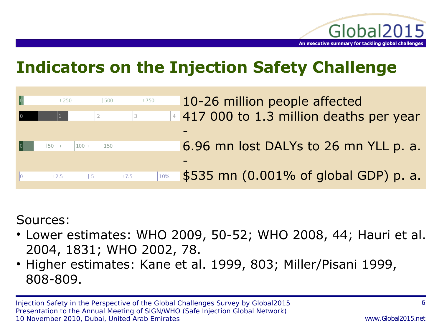

# **Indicators on the Injection Safety Challenge**

|                         | 1250                  | 500       | 1750 | 10-26 million people affected                |
|-------------------------|-----------------------|-----------|------|----------------------------------------------|
| $\overline{\mathbf{0}}$ |                       |           | 3    | 4 417 000 to 1.3 million deaths per year     |
|                         |                       |           |      |                                              |
| $\vert 0 \vert$         | $ 50 \t $             | 100   150 |      | 6.96 mn lost DALYs to 26 mn YLL p. a.        |
|                         |                       |           |      |                                              |
|                         | $\vert 2.5 \vert$   5 |           | 17.5 | \$535 mn (0.001% of global GDP) p. a.<br>10% |
|                         |                       |           |      |                                              |

Sources:

- Lower estimates: WHO 2009, 50-52; WHO 2008, 44; Hauri et al. 2004, 1831; WHO 2002, 78.
- Higher estimates: Kane et al. 1999, 803; Miller/Pisani 1999, 808-809.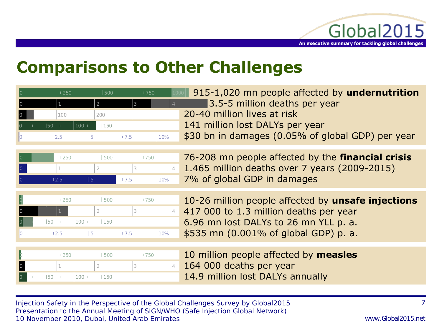

# **Comparisons to Other Challenges**

|                         | l 250.            | l 500 | 1750 | 915-1,020 mn people affected by undernutrition           |
|-------------------------|-------------------|-------|------|----------------------------------------------------------|
|                         |                   |       |      | 3.5-5 million deaths per year                            |
| $\overline{\mathbf{0}}$ | 100               | 200   |      | 20-40 million lives at risk                              |
|                         | 100 <br>$150 - 1$ | 150   |      | 141 million lost DALYs per year                          |
|                         |                   |       |      | \$30 bn in damages (0.05% of global GDP) per year<br>10% |



 76-208 mn people affected by the **financial crisis** 4 1.465 million deaths over 7 years (2009-2015) 7% of global GDP in damages

| 1250 | 500            | 1750    |     |
|------|----------------|---------|-----|
| п    |                | $\prec$ |     |
| 50   | $100 -$<br>150 |         |     |
| 12.5 | -5             | 17.5    | 10% |

 10-26 million people affected by **unsafe injections** 417 000 to 1.3 million deaths per year 6.96 mn lost DALYs to 26 mn YLL p. a. \$535 mn (0.001% of global GDP) p. a.

|    |         | 1250 |         | 500 | <b>1750</b> |  |
|----|---------|------|---------|-----|-------------|--|
| 0  |         |      |         |     |             |  |
| l0 | $ 50 +$ |      | $100 -$ | 150 |             |  |

 10 million people affected by **measles** 164 000 deaths per year 14.9 million lost DALYs annually

Injection Safety in the Perspective of the Global Challenges Survey by Global2015 Presentation to the Annual Meeting of SIGN/WHO (Safe Injection Global Network) 10 November 2010, Dubai, United Arab Emirates

7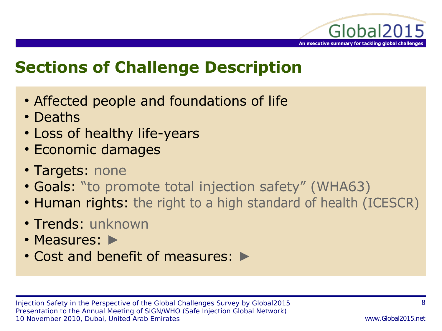

# **Sections of Challenge Description**

- Affected people and foundations of life
- Deaths
- Loss of healthy life-years
- Economic damages
- Targets: none
- Goals: "to promote total injection safety" (WHA63)
- Human rights: the right to a high standard of health (ICESCR)
- Trends: unknown
- Measures: ►
- Cost and benefit of measures: ►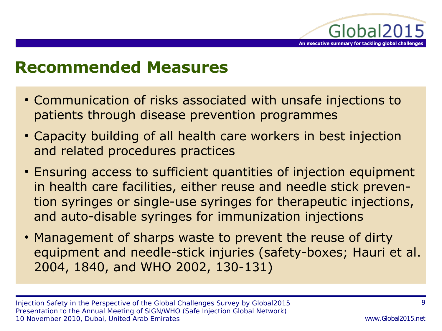

### **Recommended Measures**

- Communication of risks associated with unsafe injections to patients through disease prevention programmes
- Capacity building of all health care workers in best injection and related procedures practices
- Ensuring access to sufficient quantities of injection equipment in health care facilities, either reuse and needle stick prevention syringes or single-use syringes for therapeutic injections, and auto-disable syringes for immunization injections
- Management of sharps waste to prevent the reuse of dirty equipment and needle-stick injuries (safety-boxes; Hauri et al. 2004, 1840, and WHO 2002, 130-131)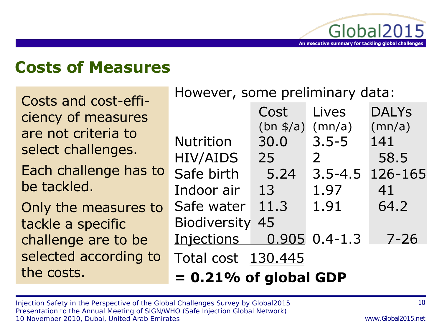

## **Costs of Measures**

Costs and cost-efficiency of measures are not criteria to select challenges.

Each challenge has to be tackled.

Only the measures to tackle a specific challenge are to be selected according to the costs.

However, some preliminary data:

|                           | Cost               | Lives             | <b>DALYS</b> |  |  |  |
|---------------------------|--------------------|-------------------|--------------|--|--|--|
|                           | $(bn \frac{s}{a})$ | (mn/a)            | (mn/a)       |  |  |  |
| <b>Nutrition</b>          | 30.0               | $3.5 - 5$         | 141          |  |  |  |
| <b>HIV/AIDS</b>           | 25                 | $\overline{2}$    | 58.5         |  |  |  |
| Safe birth                | 5.24               | $3.5 - 4.5$       | 126-165      |  |  |  |
| Indoor air                | 13                 | 1.97              | 41           |  |  |  |
| Safe water                | 11.3               | 1.91              | 64.2         |  |  |  |
| <b>Biodiversity</b><br>45 |                    |                   |              |  |  |  |
| Injections                |                    | $0.905$ $0.4-1.3$ | $7 - 26$     |  |  |  |
| Total cost 130.445        |                    |                   |              |  |  |  |
| $= 0.21\%$ of global GDP  |                    |                   |              |  |  |  |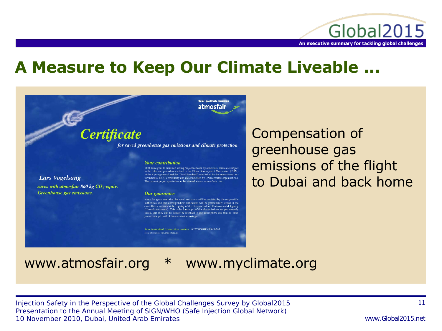

## **A Measure to Keep Our Climate Liveable ...**



**Certificate** 

for saved greenhouse gas emissions and climate protection

#### **Your contribution**

of 21 Euro goes to emission saving projects chosen by atmosfair. These are subject<br>to the rules and procedures set out in the Clean Development Mechanism (CDM) of the Kyoto protocol and the "Gold Standard" established by the international environmental NGO community and are controlled by UNaccredited organisations. The current project-portfolio can be viewed at www.atmosfair.de.

#### Our guarantee

atmosfair guarantees that the saved emissions will be certified by the responsible authorities and that corresponding certificates will be permanently stored in the cancellation account at the registry of the German Federal Environmental Agency (Umweltbundesamt). This is the formal proof that the emissions are permanently saved, that they can no longer be released in the atmosphere and that no other person can get hold of these emission savings.

Your individual transaction number: 03NOV10WVK941474 .<br>prmation: www.atmosfair.de

Compensation of greenhouse gas emissions of the flight to Dubai and back home

**Lars Vogelsang** 

Greenhouse gas emissions.

saves with atmosfair 860 kg  $CO_2$ -equiv.

#### www.atmosfair.org \* www.myclimate.org

Injection Safety in the Perspective of the Global Challenges Survey by Global2015 Presentation to the Annual Meeting of SIGN/WHO (Safe Injection Global Network) 10 November 2010, Dubai, United Arab Emirates